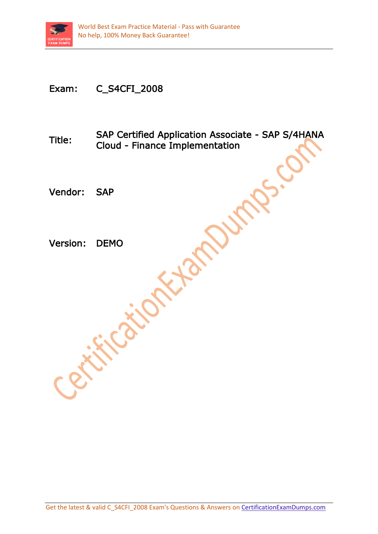

## Exam: C\_S4CFI\_2008

Title: SAP Certified Application Associate - SAP S/4HANA Cloud - Finance Implementation

Vendor: SAP

Version: DEMO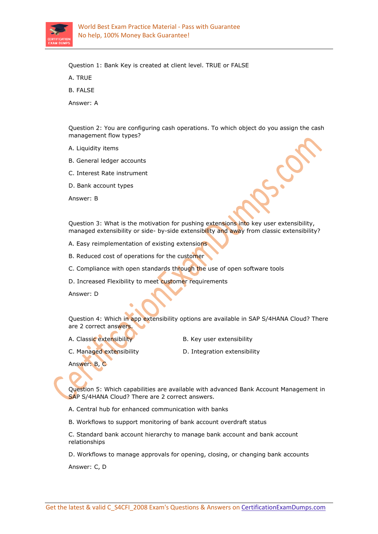

Question 1: Bank Key is created at client level. TRUE or FALSE

A. TRUE

B. FALSE

Answer: A

Question 2: You are configuring cash operations. To which object do you assign the cash management flow types?

- A. Liquidity items
- B. General ledger accounts
- C. Interest Rate instrument
- D. Bank account types

Answer: B

Question 3: What is the motivation for pushing extensions into key user extensibility, managed extensibility or side- by-side extensibility and away from classic extensibility?

- A. Easy reimplementation of existing extensions
- B. Reduced cost of operations for the customer
- C. Compliance with open standards through the use of open software tools
- D. Increased Flexibility to meet customer requirements

Answer: D

Question 4: Which in app extensibility options are available in SAP S/4HANA Cloud? There are 2 correct answers.

- 
- A. Classic extensibility B. Key user extensibility
- 
- C. Managed extensibility **D.** Integration extensibility

Answer: B, C

Question 5: Which capabilities are available with advanced Bank Account Management in SAP S/4HANA Cloud? There are 2 correct answers.

A. Central hub for enhanced communication with banks

B. Workflows to support monitoring of bank account overdraft status

C. Standard bank account hierarchy to manage bank account and bank account relationships

D. Workflows to manage approvals for opening, closing, or changing bank accounts

Answer: C, D